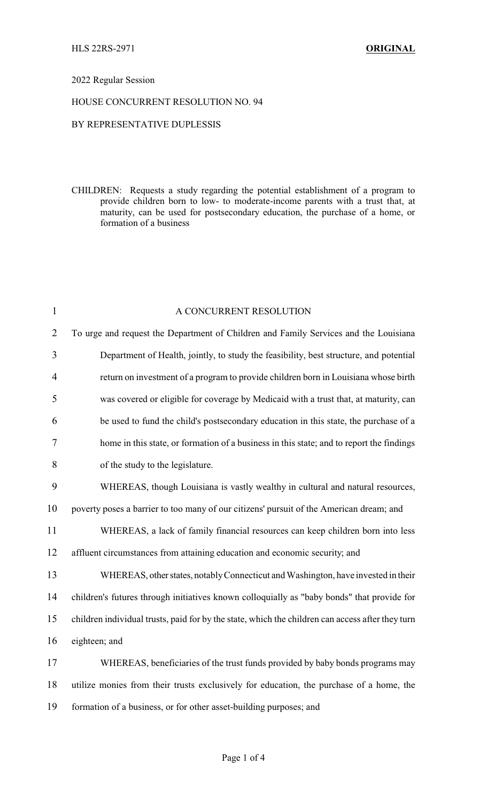## 2022 Regular Session

## HOUSE CONCURRENT RESOLUTION NO. 94

## BY REPRESENTATIVE DUPLESSIS

CHILDREN: Requests a study regarding the potential establishment of a program to provide children born to low- to moderate-income parents with a trust that, at maturity, can be used for postsecondary education, the purchase of a home, or formation of a business

| $\mathbf{1}$   | A CONCURRENT RESOLUTION                                                                          |
|----------------|--------------------------------------------------------------------------------------------------|
| $\overline{2}$ | To urge and request the Department of Children and Family Services and the Louisiana             |
| $\overline{3}$ | Department of Health, jointly, to study the feasibility, best structure, and potential           |
| $\overline{4}$ | return on investment of a program to provide children born in Louisiana whose birth              |
| 5              | was covered or eligible for coverage by Medicaid with a trust that, at maturity, can             |
| 6              | be used to fund the child's postsecondary education in this state, the purchase of a             |
| 7              | home in this state, or formation of a business in this state; and to report the findings         |
| 8              | of the study to the legislature.                                                                 |
| 9              | WHEREAS, though Louisiana is vastly wealthy in cultural and natural resources,                   |
| 10             | poverty poses a barrier to too many of our citizens' pursuit of the American dream; and          |
| 11             | WHEREAS, a lack of family financial resources can keep children born into less                   |
| 12             | affluent circumstances from attaining education and economic security; and                       |
| 13             | WHEREAS, other states, notably Connecticut and Washington, have invested in their                |
| 14             | children's futures through initiatives known colloquially as "baby bonds" that provide for       |
| 15             | children individual trusts, paid for by the state, which the children can access after they turn |
| 16             | eighteen; and                                                                                    |
| 17             | WHEREAS, beneficiaries of the trust funds provided by baby bonds programs may                    |
| 18             | utilize monies from their trusts exclusively for education, the purchase of a home, the          |
| 19             | formation of a business, or for other asset-building purposes; and                               |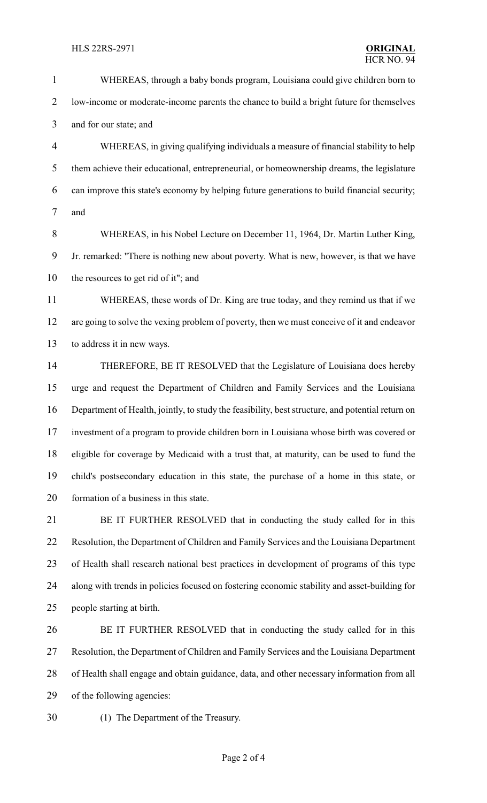- WHEREAS, through a baby bonds program, Louisiana could give children born to low-income or moderate-income parents the chance to build a bright future for themselves
- and for our state; and

 WHEREAS, in giving qualifying individuals a measure of financial stability to help them achieve their educational, entrepreneurial, or homeownership dreams, the legislature can improve this state's economy by helping future generations to build financial security; and

 WHEREAS, in his Nobel Lecture on December 11, 1964, Dr. Martin Luther King, Jr. remarked: "There is nothing new about poverty. What is new, however, is that we have the resources to get rid of it"; and

 WHEREAS, these words of Dr. King are true today, and they remind us that if we are going to solve the vexing problem of poverty, then we must conceive of it and endeavor to address it in new ways.

 THEREFORE, BE IT RESOLVED that the Legislature of Louisiana does hereby urge and request the Department of Children and Family Services and the Louisiana Department of Health, jointly, to study the feasibility, best structure, and potential return on investment of a program to provide children born in Louisiana whose birth was covered or eligible for coverage by Medicaid with a trust that, at maturity, can be used to fund the child's postsecondary education in this state, the purchase of a home in this state, or formation of a business in this state.

 BE IT FURTHER RESOLVED that in conducting the study called for in this Resolution, the Department of Children and Family Services and the Louisiana Department of Health shall research national best practices in development of programs of this type along with trends in policies focused on fostering economic stability and asset-building for people starting at birth.

 BE IT FURTHER RESOLVED that in conducting the study called for in this Resolution, the Department of Children and Family Services and the Louisiana Department of Health shall engage and obtain guidance, data, and other necessary information from all of the following agencies:

(1) The Department of the Treasury.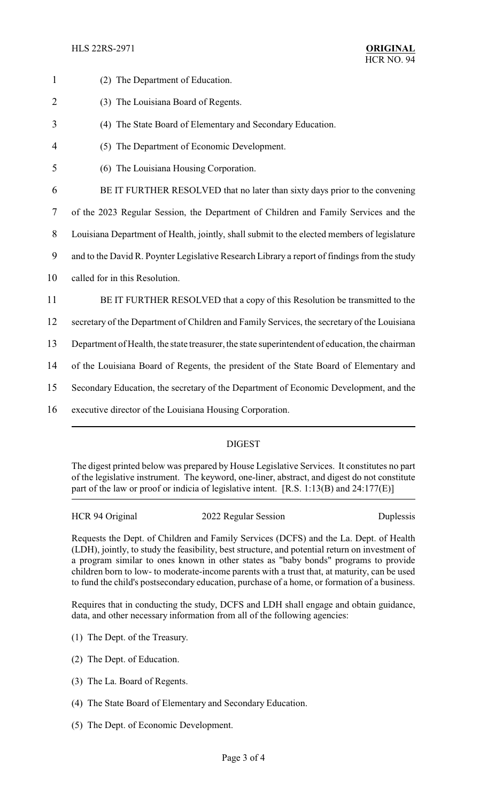HLS 22RS-2971 **ORIGINAL**

| $\mathbf{1}$   | (2) The Department of Education.                                                               |
|----------------|------------------------------------------------------------------------------------------------|
| $\overline{2}$ | (3) The Louisiana Board of Regents.                                                            |
| 3              | (4) The State Board of Elementary and Secondary Education.                                     |
| 4              | (5) The Department of Economic Development.                                                    |
| 5              | (6) The Louisiana Housing Corporation.                                                         |
| 6              | BE IT FURTHER RESOLVED that no later than sixty days prior to the convening                    |
| 7              | of the 2023 Regular Session, the Department of Children and Family Services and the            |
| $8\,$          | Louisiana Department of Health, jointly, shall submit to the elected members of legislature    |
| 9              | and to the David R. Poynter Legislative Research Library a report of findings from the study   |
| 10             | called for in this Resolution.                                                                 |
| 11             | BE IT FURTHER RESOLVED that a copy of this Resolution be transmitted to the                    |
| 12             | secretary of the Department of Children and Family Services, the secretary of the Louisiana    |
| 13             | Department of Health, the state treasurer, the state superintendent of education, the chairman |
| 14             | of the Louisiana Board of Regents, the president of the State Board of Elementary and          |
| 15             | Secondary Education, the secretary of the Department of Economic Development, and the          |
| 16             | executive director of the Louisiana Housing Corporation.                                       |
|                |                                                                                                |

# DIGEST

The digest printed below was prepared by House Legislative Services. It constitutes no part of the legislative instrument. The keyword, one-liner, abstract, and digest do not constitute part of the law or proof or indicia of legislative intent. [R.S. 1:13(B) and 24:177(E)]

HCR 94 Original 2022 Regular Session Duplessis

Requests the Dept. of Children and Family Services (DCFS) and the La. Dept. of Health (LDH), jointly, to study the feasibility, best structure, and potential return on investment of a program similar to ones known in other states as "baby bonds" programs to provide children born to low- to moderate-income parents with a trust that, at maturity, can be used to fund the child's postsecondary education, purchase of a home, or formation of a business.

Requires that in conducting the study, DCFS and LDH shall engage and obtain guidance, data, and other necessary information from all of the following agencies:

- (1) The Dept. of the Treasury.
- (2) The Dept. of Education.
- (3) The La. Board of Regents.
- (4) The State Board of Elementary and Secondary Education.
- (5) The Dept. of Economic Development.